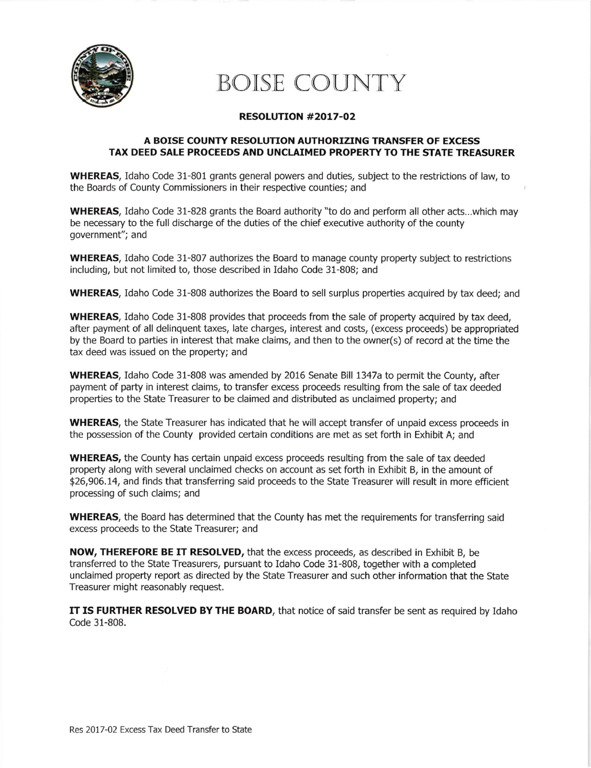

## BOISE COUNTY

## RESOLUTION #20t7-O2

## A BOISE COUNTY RESOLUTION AUTHORIZING TRANSFER OF EXCESS TAX DEED SALE PROCEEDS AND UNCLAIMED PROPERTY TO THE STATE TREASURER

WHEREAS, Idaho Code 31-801 grants general powers and duties, subject to the restrictions of law, to the Boards of County Commissioners in their respective counties; and

WHEREAS, Idaho Code 31-828 grants the Board authority "to do and perform all other acts...which may be necessary to the full discharge of the duties of the chief executive authority of the county government"; and

WHEREAS, Idaho Code 31-807 authorizes the Board to manage county property subject to restrictions including, but not limited to, those described in Idaho Code 31-808; and

WHEREAS, Idaho Code 31-808 authorizes the Board to sell surplus properties acquired by tax deed; and

WHEREAS, Idaho Code 31-808 provides that proceeds from the sale of property acquired by tax deed, after payment of all delinquent taxes, late charges, interest and costs, (excess proceeds) be appropriated by the Board to parties in interest that make claims, and then to the owner(s) of record at the time the tax deed was issued on the property; and

WHEREAS, Idaho Code 31-808 was amended by 2016 Senate Bill 1347a to permit the County, after payment of party in interest claims, to transfer excess proceeds resulting from the sale of tax deeded properties to the State Treasurer to be claimed and distributed as unclaimed property; and

WHEREAS, the State Treasurer has indicated that he will accept transfer of unpaid excess proceeds in the possession of the County provided certain conditions are met as set forth in Exhibit A; and

WHEREAS, the County has certain unpaid excess proceeds resulting from the sale of tax deeded property along with several unclaimed checks on account as set forth in Exhibit B, in the amount of \$26,906.14, and finds that transferring said proceeds to the State Treasurer will result in more efficient processing of such claims; and

WHEREAS, the Board has determined that the County has met the requirements for transferring said excess proceeds to the state Treasurer; and

NOW, THEREFORE BE IT RESOLVED, that the excess proceeds, as described in Exhibit B, be transferred to the State Treasurers, pursuant to ldaho Code 31-808, together with a completed unclaimed property report as directed by the State Treasurer and such other information that the State Treasurer might reasonably request.

IT IS FURTHER RESOLVED BY THE BOARD, that notice of said transfer be sent as required by Idaho Code 31-808.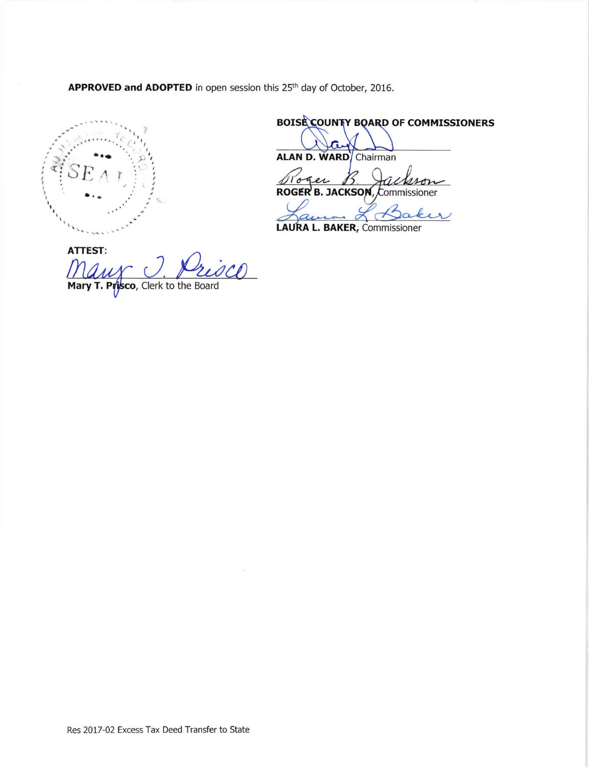APPROVED and ADOPTED in open session this 25<sup>th</sup> day of October, 2016.



BOISE COUNTY BOARD OF COMMISSIONERS

ALAN D. WARD Chairman

 ${\mathcal B}$ Toger Łû ROGER B. JACKSON, Commissioner

LAURA L. BAKER, Commissioner

**ATTEST:** risco Mary T. Prisco, Clerk to the Board